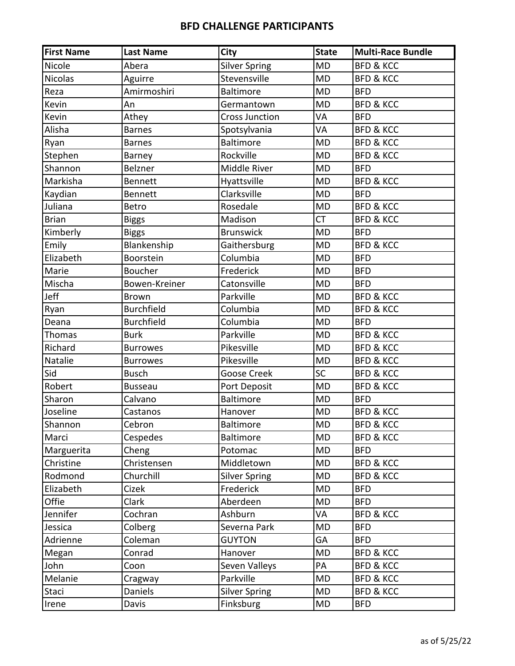| <b>First Name</b> | <b>Last Name</b>  | <b>City</b>           | <b>State</b> | <b>Multi-Race Bundle</b> |
|-------------------|-------------------|-----------------------|--------------|--------------------------|
| Nicole            | Abera             | <b>Silver Spring</b>  | <b>MD</b>    | <b>BFD &amp; KCC</b>     |
| <b>Nicolas</b>    | Aguirre           | Stevensville          | <b>MD</b>    | <b>BFD &amp; KCC</b>     |
| Reza              | Amirmoshiri       | <b>Baltimore</b>      | <b>MD</b>    | <b>BFD</b>               |
| Kevin             | An                | Germantown            | <b>MD</b>    | <b>BFD &amp; KCC</b>     |
| Kevin             | Athey             | <b>Cross Junction</b> | VA           | <b>BFD</b>               |
| Alisha            | <b>Barnes</b>     | Spotsylvania          | VA           | <b>BFD &amp; KCC</b>     |
| Ryan              | <b>Barnes</b>     | <b>Baltimore</b>      | <b>MD</b>    | <b>BFD &amp; KCC</b>     |
| Stephen           | Barney            | Rockville             | <b>MD</b>    | <b>BFD &amp; KCC</b>     |
| Shannon           | Belzner           | Middle River          | <b>MD</b>    | <b>BFD</b>               |
| Markisha          | <b>Bennett</b>    | Hyattsville           | <b>MD</b>    | <b>BFD &amp; KCC</b>     |
| Kaydian           | Bennett           | Clarksville           | <b>MD</b>    | <b>BFD</b>               |
| Juliana           | <b>Betro</b>      | Rosedale              | <b>MD</b>    | <b>BFD &amp; KCC</b>     |
| <b>Brian</b>      | <b>Biggs</b>      | Madison               | <b>CT</b>    | <b>BFD &amp; KCC</b>     |
| Kimberly          | <b>Biggs</b>      | <b>Brunswick</b>      | <b>MD</b>    | <b>BFD</b>               |
| Emily             | Blankenship       | Gaithersburg          | <b>MD</b>    | <b>BFD &amp; KCC</b>     |
| Elizabeth         | Boorstein         | Columbia              | <b>MD</b>    | <b>BFD</b>               |
| Marie             | Boucher           | Frederick             | <b>MD</b>    | <b>BFD</b>               |
| Mischa            | Bowen-Kreiner     | Catonsville           | <b>MD</b>    | <b>BFD</b>               |
| Jeff              | <b>Brown</b>      | Parkville             | <b>MD</b>    | <b>BFD &amp; KCC</b>     |
| Ryan              | <b>Burchfield</b> | Columbia              | <b>MD</b>    | <b>BFD &amp; KCC</b>     |
| Deana             | <b>Burchfield</b> | Columbia              | <b>MD</b>    | <b>BFD</b>               |
| Thomas            | <b>Burk</b>       | Parkville             | <b>MD</b>    | <b>BFD &amp; KCC</b>     |
| Richard           | <b>Burrowes</b>   | Pikesville            | <b>MD</b>    | <b>BFD &amp; KCC</b>     |
| Natalie           | <b>Burrowes</b>   | Pikesville            | <b>MD</b>    | <b>BFD &amp; KCC</b>     |
| Sid               | <b>Busch</b>      | <b>Goose Creek</b>    | <b>SC</b>    | <b>BFD &amp; KCC</b>     |
| Robert            | <b>Busseau</b>    | Port Deposit          | <b>MD</b>    | <b>BFD &amp; KCC</b>     |
| Sharon            | Calvano           | Baltimore             | <b>MD</b>    | <b>BFD</b>               |
| Joseline          | Castanos          | Hanover               | <b>MD</b>    | <b>BFD &amp; KCC</b>     |
| Shannon           | Cebron            | Baltimore             | <b>MD</b>    | <b>BFD &amp; KCC</b>     |
| Marci             | Cespedes          | <b>Baltimore</b>      | <b>MD</b>    | <b>BFD &amp; KCC</b>     |
| Marguerita        | Cheng             | Potomac               | <b>MD</b>    | <b>BFD</b>               |
| Christine         | Christensen       | Middletown            | <b>MD</b>    | <b>BFD &amp; KCC</b>     |
| Rodmond           | Churchill         | <b>Silver Spring</b>  | <b>MD</b>    | <b>BFD &amp; KCC</b>     |
| Elizabeth         | Cizek             | Frederick             | <b>MD</b>    | <b>BFD</b>               |
| Offie             | Clark             | Aberdeen              | MD           | <b>BFD</b>               |
| Jennifer          | Cochran           | Ashburn               | VA           | <b>BFD &amp; KCC</b>     |
| Jessica           | Colberg           | Severna Park          | <b>MD</b>    | <b>BFD</b>               |
| Adrienne          | Coleman           | <b>GUYTON</b>         | GA           | <b>BFD</b>               |
| Megan             | Conrad            | Hanover               | MD           | <b>BFD &amp; KCC</b>     |
| John              | Coon              | Seven Valleys         | PA           | <b>BFD &amp; KCC</b>     |
| Melanie           | Cragway           | Parkville             | <b>MD</b>    | <b>BFD &amp; KCC</b>     |
| Staci             | Daniels           | <b>Silver Spring</b>  | MD           | <b>BFD &amp; KCC</b>     |
| Irene             | Davis             | Finksburg             | <b>MD</b>    | <b>BFD</b>               |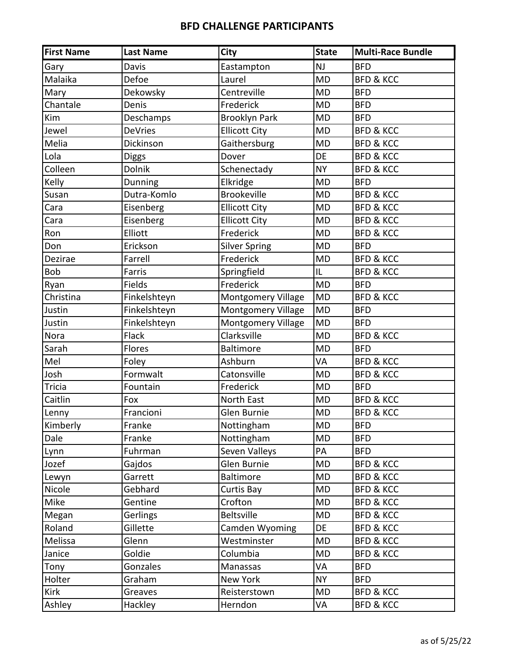| <b>First Name</b> | <b>Last Name</b> | <b>City</b>               | <b>State</b> | <b>Multi-Race Bundle</b> |
|-------------------|------------------|---------------------------|--------------|--------------------------|
| Gary              | Davis            | Eastampton                | <b>NJ</b>    | <b>BFD</b>               |
| Malaika           | Defoe            | Laurel                    | <b>MD</b>    | <b>BFD &amp; KCC</b>     |
| Mary              | Dekowsky         | Centreville               | <b>MD</b>    | <b>BFD</b>               |
| Chantale          | Denis            | Frederick                 | <b>MD</b>    | <b>BFD</b>               |
| Kim               | Deschamps        | <b>Brooklyn Park</b>      | <b>MD</b>    | <b>BFD</b>               |
| Jewel             | <b>DeVries</b>   | <b>Ellicott City</b>      | <b>MD</b>    | <b>BFD &amp; KCC</b>     |
| Melia             | Dickinson        | Gaithersburg              | <b>MD</b>    | <b>BFD &amp; KCC</b>     |
| Lola              | <b>Diggs</b>     | Dover                     | DE           | <b>BFD &amp; KCC</b>     |
| Colleen           | Dolnik           | Schenectady               | <b>NY</b>    | <b>BFD &amp; KCC</b>     |
| Kelly             | Dunning          | Elkridge                  | <b>MD</b>    | <b>BFD</b>               |
| Susan             | Dutra-Komlo      | <b>Brookeville</b>        | <b>MD</b>    | <b>BFD &amp; KCC</b>     |
| Cara              | Eisenberg        | <b>Ellicott City</b>      | <b>MD</b>    | <b>BFD &amp; KCC</b>     |
| Cara              | Eisenberg        | <b>Ellicott City</b>      | <b>MD</b>    | <b>BFD &amp; KCC</b>     |
| Ron               | Elliott          | Frederick                 | <b>MD</b>    | <b>BFD &amp; KCC</b>     |
| Don               | Erickson         | <b>Silver Spring</b>      | <b>MD</b>    | <b>BFD</b>               |
| Dezirae           | Farrell          | Frederick                 | <b>MD</b>    | <b>BFD &amp; KCC</b>     |
| <b>Bob</b>        | Farris           | Springfield               | IL           | <b>BFD &amp; KCC</b>     |
| Ryan              | Fields           | Frederick                 | <b>MD</b>    | <b>BFD</b>               |
| Christina         | Finkelshteyn     | <b>Montgomery Village</b> | <b>MD</b>    | <b>BFD &amp; KCC</b>     |
| Justin            | Finkelshteyn     | Montgomery Village        | <b>MD</b>    | <b>BFD</b>               |
| Justin            | Finkelshteyn     | <b>Montgomery Village</b> | <b>MD</b>    | <b>BFD</b>               |
| Nora              | Flack            | Clarksville               | <b>MD</b>    | <b>BFD &amp; KCC</b>     |
| Sarah             | Flores           | <b>Baltimore</b>          | <b>MD</b>    | <b>BFD</b>               |
| Mel               | Foley            | Ashburn                   | VA           | <b>BFD &amp; KCC</b>     |
| Josh              | Formwalt         | Catonsville               | <b>MD</b>    | <b>BFD &amp; KCC</b>     |
| <b>Tricia</b>     | Fountain         | Frederick                 | <b>MD</b>    | <b>BFD</b>               |
| Caitlin           | Fox              | North East                | <b>MD</b>    | <b>BFD &amp; KCC</b>     |
| Lenny             | Francioni        | Glen Burnie               | <b>MD</b>    | <b>BFD &amp; KCC</b>     |
| Kimberly          | Franke           | Nottingham                | MD           | <b>BFD</b>               |
| Dale              | Franke           | Nottingham                | MD           | <b>BFD</b>               |
| Lynn              | Fuhrman          | Seven Valleys             | PA           | <b>BFD</b>               |
| Jozef             | Gajdos           | Glen Burnie               | <b>MD</b>    | <b>BFD &amp; KCC</b>     |
| Lewyn             | Garrett          | <b>Baltimore</b>          | <b>MD</b>    | <b>BFD &amp; KCC</b>     |
| Nicole            | Gebhard          | Curtis Bay                | <b>MD</b>    | <b>BFD &amp; KCC</b>     |
| Mike              | Gentine          | Crofton                   | <b>MD</b>    | <b>BFD &amp; KCC</b>     |
| Megan             | Gerlings         | Beltsville                | MD           | <b>BFD &amp; KCC</b>     |
| Roland            | Gillette         | Camden Wyoming            | DE           | <b>BFD &amp; KCC</b>     |
| Melissa           | Glenn            | Westminster               | MD           | <b>BFD &amp; KCC</b>     |
| Janice            | Goldie           | Columbia                  | <b>MD</b>    | <b>BFD &amp; KCC</b>     |
| Tony              | Gonzales         | Manassas                  | VA           | <b>BFD</b>               |
| Holter            | Graham           | New York                  | <b>NY</b>    | <b>BFD</b>               |
| Kirk              | Greaves          | Reisterstown              | <b>MD</b>    | <b>BFD &amp; KCC</b>     |
| Ashley            | Hackley          | Herndon                   | VA           | <b>BFD &amp; KCC</b>     |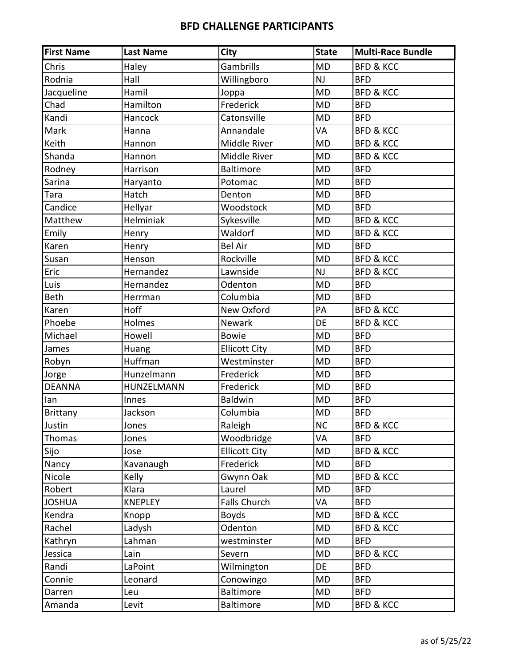| <b>First Name</b> | <b>Last Name</b> | City                 | <b>State</b> | <b>Multi-Race Bundle</b> |
|-------------------|------------------|----------------------|--------------|--------------------------|
| Chris             | Haley            | Gambrills            | <b>MD</b>    | <b>BFD &amp; KCC</b>     |
| Rodnia            | Hall             | Willingboro          | NJ           | <b>BFD</b>               |
| Jacqueline        | Hamil            | Joppa                | <b>MD</b>    | <b>BFD &amp; KCC</b>     |
| Chad              | Hamilton         | Frederick            | <b>MD</b>    | <b>BFD</b>               |
| Kandi             | Hancock          | Catonsville          | <b>MD</b>    | <b>BFD</b>               |
| Mark              | Hanna            | Annandale            | VA           | <b>BFD &amp; KCC</b>     |
| Keith             | Hannon           | Middle River         | <b>MD</b>    | <b>BFD &amp; KCC</b>     |
| Shanda            | Hannon           | Middle River         | <b>MD</b>    | <b>BFD &amp; KCC</b>     |
| Rodney            | Harrison         | <b>Baltimore</b>     | <b>MD</b>    | <b>BFD</b>               |
| Sarina            | Haryanto         | Potomac              | <b>MD</b>    | <b>BFD</b>               |
| Tara              | Hatch            | Denton               | <b>MD</b>    | <b>BFD</b>               |
| Candice           | Hellyar          | Woodstock            | <b>MD</b>    | <b>BFD</b>               |
| Matthew           | Helminiak        | Sykesville           | <b>MD</b>    | <b>BFD &amp; KCC</b>     |
| Emily             | Henry            | Waldorf              | <b>MD</b>    | <b>BFD &amp; KCC</b>     |
| Karen             | Henry            | <b>Bel Air</b>       | <b>MD</b>    | <b>BFD</b>               |
| Susan             | Henson           | Rockville            | <b>MD</b>    | <b>BFD &amp; KCC</b>     |
| Eric              | Hernandez        | Lawnside             | NJ           | <b>BFD &amp; KCC</b>     |
| Luis              | Hernandez        | Odenton              | <b>MD</b>    | <b>BFD</b>               |
| Beth              | Herrman          | Columbia             | <b>MD</b>    | <b>BFD</b>               |
| Karen             | <b>Hoff</b>      | New Oxford           | PA           | <b>BFD &amp; KCC</b>     |
| Phoebe            | Holmes           | Newark               | DE           | <b>BFD &amp; KCC</b>     |
| Michael           | Howell           | <b>Bowie</b>         | <b>MD</b>    | <b>BFD</b>               |
| James             | Huang            | <b>Ellicott City</b> | <b>MD</b>    | <b>BFD</b>               |
| Robyn             | Huffman          | Westminster          | <b>MD</b>    | <b>BFD</b>               |
| Jorge             | Hunzelmann       | Frederick            | <b>MD</b>    | <b>BFD</b>               |
| <b>DEANNA</b>     | HUNZELMANN       | Frederick            | <b>MD</b>    | <b>BFD</b>               |
| lan               | Innes            | <b>Baldwin</b>       | <b>MD</b>    | <b>BFD</b>               |
| Brittany          | Jackson          | Columbia             | <b>MD</b>    | <b>BFD</b>               |
| Justin            | Jones            | Raleigh              | <b>NC</b>    | <b>BFD &amp; KCC</b>     |
| Thomas            | Jones            | Woodbridge           | VA           | <b>BFD</b>               |
| Sijo              | Jose             | <b>Ellicott City</b> | MD           | <b>BFD &amp; KCC</b>     |
| Nancy             | Kavanaugh        | Frederick            | <b>MD</b>    | <b>BFD</b>               |
| Nicole            | Kelly            | Gwynn Oak            | <b>MD</b>    | <b>BFD &amp; KCC</b>     |
| Robert            | Klara            | Laurel               | MD           | <b>BFD</b>               |
| <b>JOSHUA</b>     | <b>KNEPLEY</b>   | <b>Falls Church</b>  | VA           | <b>BFD</b>               |
| Kendra            | Knopp            | <b>Boyds</b>         | <b>MD</b>    | <b>BFD &amp; KCC</b>     |
| Rachel            | Ladysh           | Odenton              | <b>MD</b>    | <b>BFD &amp; KCC</b>     |
| Kathryn           | Lahman           | westminster          | <b>MD</b>    | <b>BFD</b>               |
| Jessica           | Lain             | Severn               | <b>MD</b>    | <b>BFD &amp; KCC</b>     |
| Randi             | LaPoint          | Wilmington           | DE           | <b>BFD</b>               |
| Connie            | Leonard          | Conowingo            | MD           | <b>BFD</b>               |
| Darren            | Leu              | Baltimore            | MD           | <b>BFD</b>               |
| Amanda            | Levit            | Baltimore            | MD           | <b>BFD &amp; KCC</b>     |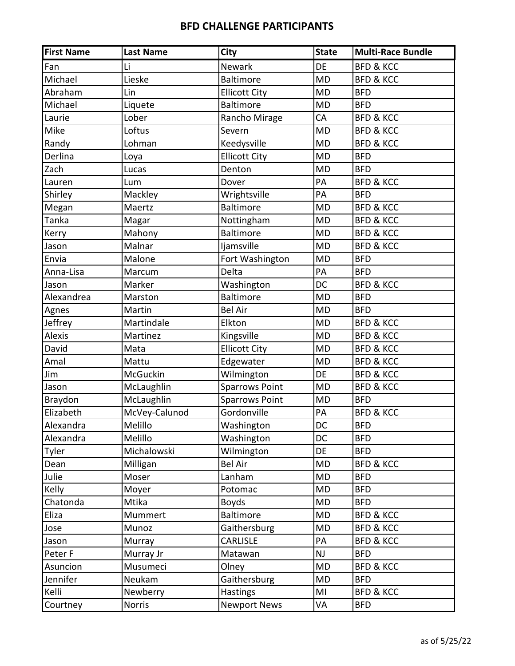| <b>First Name</b> | <b>Last Name</b> | City                  | <b>State</b> | <b>Multi-Race Bundle</b> |
|-------------------|------------------|-----------------------|--------------|--------------------------|
| Fan               | Li               | Newark                | DE           | <b>BFD &amp; KCC</b>     |
| Michael           | Lieske           | <b>Baltimore</b>      | <b>MD</b>    | <b>BFD &amp; KCC</b>     |
| Abraham           | Lin              | <b>Ellicott City</b>  | <b>MD</b>    | <b>BFD</b>               |
| Michael           | Liquete          | <b>Baltimore</b>      | <b>MD</b>    | <b>BFD</b>               |
| Laurie            | Lober            | Rancho Mirage         | CA           | <b>BFD &amp; KCC</b>     |
| Mike              | Loftus           | Severn                | <b>MD</b>    | <b>BFD &amp; KCC</b>     |
| Randy             | Lohman           | Keedysville           | <b>MD</b>    | <b>BFD &amp; KCC</b>     |
| Derlina           | Loya             | <b>Ellicott City</b>  | <b>MD</b>    | <b>BFD</b>               |
| Zach              | Lucas            | Denton                | <b>MD</b>    | <b>BFD</b>               |
| Lauren            | Lum              | Dover                 | PA           | <b>BFD &amp; KCC</b>     |
| Shirley           | Mackley          | Wrightsville          | PA           | <b>BFD</b>               |
| Megan             | Maertz           | <b>Baltimore</b>      | <b>MD</b>    | <b>BFD &amp; KCC</b>     |
| Tanka             | Magar            | Nottingham            | <b>MD</b>    | <b>BFD &amp; KCC</b>     |
| Kerry             | Mahony           | <b>Baltimore</b>      | <b>MD</b>    | <b>BFD &amp; KCC</b>     |
| Jason             | Malnar           | ljamsville            | <b>MD</b>    | <b>BFD &amp; KCC</b>     |
| Envia             | Malone           | Fort Washington       | <b>MD</b>    | <b>BFD</b>               |
| Anna-Lisa         | Marcum           | Delta                 | PA           | <b>BFD</b>               |
| Jason             | Marker           | Washington            | DC           | <b>BFD &amp; KCC</b>     |
| Alexandrea        | Marston          | <b>Baltimore</b>      | <b>MD</b>    | <b>BFD</b>               |
| Agnes             | Martin           | <b>Bel Air</b>        | <b>MD</b>    | <b>BFD</b>               |
| Jeffrey           | Martindale       | Elkton                | <b>MD</b>    | <b>BFD &amp; KCC</b>     |
| <b>Alexis</b>     | Martinez         | Kingsville            | <b>MD</b>    | <b>BFD &amp; KCC</b>     |
| David             | Mata             | <b>Ellicott City</b>  | <b>MD</b>    | <b>BFD &amp; KCC</b>     |
| Amal              | Mattu            | Edgewater             | <b>MD</b>    | <b>BFD &amp; KCC</b>     |
| Jim               | McGuckin         | Wilmington            | DE           | <b>BFD &amp; KCC</b>     |
| Jason             | McLaughlin       | <b>Sparrows Point</b> | <b>MD</b>    | <b>BFD &amp; KCC</b>     |
| Braydon           | McLaughlin       | <b>Sparrows Point</b> | <b>MD</b>    | <b>BFD</b>               |
| Elizabeth         | McVey-Calunod    | Gordonville           | PA           | <b>BFD &amp; KCC</b>     |
| Alexandra         | Melillo          | Washington            | DC           | <b>BFD</b>               |
| Alexandra         | Melillo          | Washington            | DC           | <b>BFD</b>               |
| Tyler             | Michalowski      | Wilmington            | DE           | <b>BFD</b>               |
| Dean              | Milligan         | <b>Bel Air</b>        | MD           | <b>BFD &amp; KCC</b>     |
| Julie             | Moser            | Lanham                | <b>MD</b>    | <b>BFD</b>               |
| Kelly             | Moyer            | Potomac               | <b>MD</b>    | <b>BFD</b>               |
| Chatonda          | Mtika            | <b>Boyds</b>          | MD           | <b>BFD</b>               |
| Eliza             | Mummert          | <b>Baltimore</b>      | MD           | <b>BFD &amp; KCC</b>     |
| Jose              | Munoz            | Gaithersburg          | <b>MD</b>    | <b>BFD &amp; KCC</b>     |
| Jason             | Murray           | <b>CARLISLE</b>       | PA           | <b>BFD &amp; KCC</b>     |
| Peter F           | Murray Jr        | Matawan               | <b>NJ</b>    | <b>BFD</b>               |
| Asuncion          | Musumeci         | Olney                 | <b>MD</b>    | <b>BFD &amp; KCC</b>     |
| Jennifer          | Neukam           | Gaithersburg          | MD           | <b>BFD</b>               |
| Kelli             | Newberry         | Hastings              | MI           | <b>BFD &amp; KCC</b>     |
| Courtney          | <b>Norris</b>    | <b>Newport News</b>   | VA           | <b>BFD</b>               |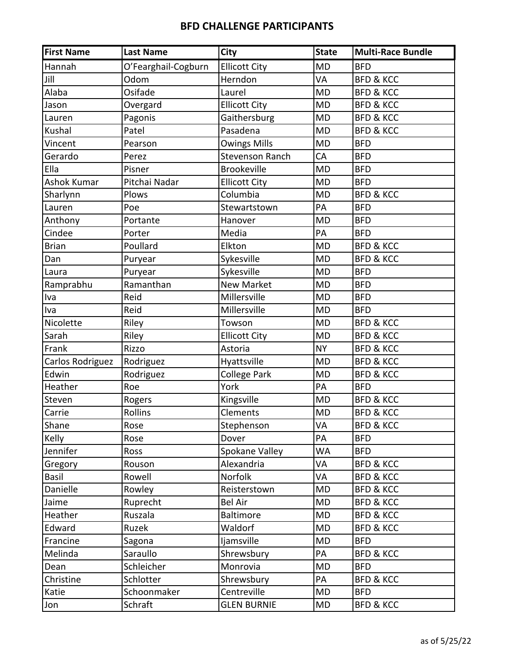| <b>First Name</b> | <b>Last Name</b>    | <b>City</b>            | <b>State</b> | <b>Multi-Race Bundle</b> |
|-------------------|---------------------|------------------------|--------------|--------------------------|
| Hannah            | O'Fearghail-Cogburn | <b>Ellicott City</b>   | <b>MD</b>    | <b>BFD</b>               |
| Jill              | Odom                | Herndon                | VA           | <b>BFD &amp; KCC</b>     |
| Alaba             | Osifade             | Laurel                 | <b>MD</b>    | <b>BFD &amp; KCC</b>     |
| Jason             | Overgard            | <b>Ellicott City</b>   | <b>MD</b>    | <b>BFD &amp; KCC</b>     |
| Lauren            | Pagonis             | Gaithersburg           | <b>MD</b>    | <b>BFD &amp; KCC</b>     |
| Kushal            | Patel               | Pasadena               | <b>MD</b>    | <b>BFD &amp; KCC</b>     |
| Vincent           | Pearson             | <b>Owings Mills</b>    | <b>MD</b>    | <b>BFD</b>               |
| Gerardo           | Perez               | <b>Stevenson Ranch</b> | CA           | <b>BFD</b>               |
| Ella              | Pisner              | <b>Brookeville</b>     | <b>MD</b>    | <b>BFD</b>               |
| Ashok Kumar       | Pitchai Nadar       | <b>Ellicott City</b>   | <b>MD</b>    | <b>BFD</b>               |
| Sharlynn          | Plows               | Columbia               | <b>MD</b>    | <b>BFD &amp; KCC</b>     |
| Lauren            | Poe                 | Stewartstown           | PA           | <b>BFD</b>               |
| Anthony           | Portante            | Hanover                | <b>MD</b>    | <b>BFD</b>               |
| Cindee            | Porter              | Media                  | PA           | <b>BFD</b>               |
| <b>Brian</b>      | Poullard            | Elkton                 | <b>MD</b>    | <b>BFD &amp; KCC</b>     |
| Dan               | Puryear             | Sykesville             | <b>MD</b>    | <b>BFD &amp; KCC</b>     |
| Laura             | Puryear             | Sykesville             | <b>MD</b>    | <b>BFD</b>               |
| Ramprabhu         | Ramanthan           | <b>New Market</b>      | <b>MD</b>    | <b>BFD</b>               |
| Iva               | Reid                | Millersville           | <b>MD</b>    | <b>BFD</b>               |
| Iva               | Reid                | Millersville           | <b>MD</b>    | <b>BFD</b>               |
| Nicolette         | Riley               | Towson                 | <b>MD</b>    | <b>BFD &amp; KCC</b>     |
| Sarah             | Riley               | <b>Ellicott City</b>   | <b>MD</b>    | <b>BFD &amp; KCC</b>     |
| Frank             | Rizzo               | Astoria                | <b>NY</b>    | <b>BFD &amp; KCC</b>     |
| Carlos Rodriguez  | Rodriguez           | Hyattsville            | <b>MD</b>    | <b>BFD &amp; KCC</b>     |
| Edwin             | Rodriguez           | College Park           | <b>MD</b>    | <b>BFD &amp; KCC</b>     |
| Heather           | Roe                 | York                   | PA           | <b>BFD</b>               |
| Steven            | Rogers              | Kingsville             | <b>MD</b>    | <b>BFD &amp; KCC</b>     |
| Carrie            | Rollins             | Clements               | <b>MD</b>    | <b>BFD &amp; KCC</b>     |
| Shane             | Rose                | Stephenson             | VA           | <b>BFD &amp; KCC</b>     |
| Kelly             | Rose                | Dover                  | PA           | <b>BFD</b>               |
| Jennifer          | Ross                | Spokane Valley         | WA           | <b>BFD</b>               |
| Gregory           | Rouson              | Alexandria             | VA           | <b>BFD &amp; KCC</b>     |
| Basil             | Rowell              | Norfolk                | VA           | <b>BFD &amp; KCC</b>     |
| Danielle          | Rowley              | Reisterstown           | MD           | <b>BFD &amp; KCC</b>     |
| Jaime             | Ruprecht            | <b>Bel Air</b>         | <b>MD</b>    | <b>BFD &amp; KCC</b>     |
| Heather           | Ruszala             | Baltimore              | <b>MD</b>    | <b>BFD &amp; KCC</b>     |
| Edward            | Ruzek               | Waldorf                | MD           | <b>BFD &amp; KCC</b>     |
| Francine          | Sagona              | ljamsville             | MD           | <b>BFD</b>               |
| Melinda           | Saraullo            | Shrewsbury             | PA           | <b>BFD &amp; KCC</b>     |
| Dean              | Schleicher          | Monrovia               | MD           | <b>BFD</b>               |
| Christine         | Schlotter           | Shrewsbury             | PA           | <b>BFD &amp; KCC</b>     |
| Katie             | Schoonmaker         | Centreville            | <b>MD</b>    | <b>BFD</b>               |
| Jon               | Schraft             | <b>GLEN BURNIE</b>     | MD           | <b>BFD &amp; KCC</b>     |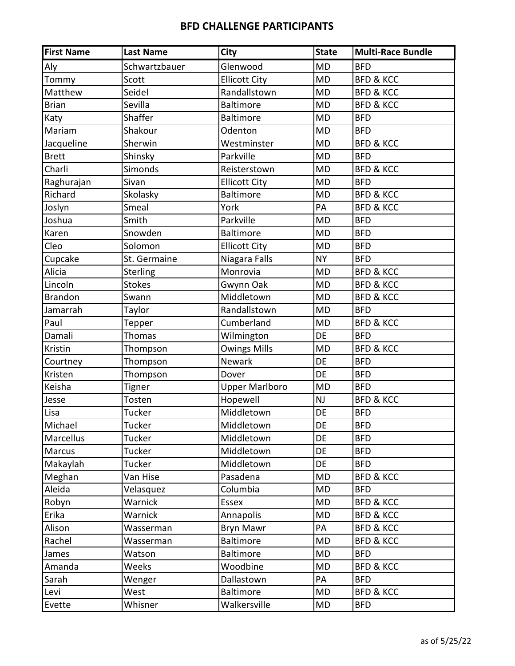| <b>First Name</b> | <b>Last Name</b> | City                  | <b>State</b> | <b>Multi-Race Bundle</b> |
|-------------------|------------------|-----------------------|--------------|--------------------------|
| Aly               | Schwartzbauer    | Glenwood              | <b>MD</b>    | <b>BFD</b>               |
| Tommy             | Scott            | <b>Ellicott City</b>  | <b>MD</b>    | <b>BFD &amp; KCC</b>     |
| Matthew           | Seidel           | Randallstown          | <b>MD</b>    | <b>BFD &amp; KCC</b>     |
| <b>Brian</b>      | Sevilla          | Baltimore             | <b>MD</b>    | <b>BFD &amp; KCC</b>     |
| Katy              | Shaffer          | <b>Baltimore</b>      | <b>MD</b>    | <b>BFD</b>               |
| Mariam            | Shakour          | Odenton               | <b>MD</b>    | <b>BFD</b>               |
| Jacqueline        | Sherwin          | Westminster           | <b>MD</b>    | <b>BFD &amp; KCC</b>     |
| <b>Brett</b>      | Shinsky          | Parkville             | <b>MD</b>    | <b>BFD</b>               |
| Charli            | Simonds          | Reisterstown          | <b>MD</b>    | <b>BFD &amp; KCC</b>     |
| Raghurajan        | Sivan            | <b>Ellicott City</b>  | <b>MD</b>    | <b>BFD</b>               |
| Richard           | Skolasky         | <b>Baltimore</b>      | <b>MD</b>    | <b>BFD &amp; KCC</b>     |
| Joslyn            | Smeal            | York                  | PA           | <b>BFD &amp; KCC</b>     |
| Joshua            | Smith            | Parkville             | <b>MD</b>    | <b>BFD</b>               |
| Karen             | Snowden          | <b>Baltimore</b>      | <b>MD</b>    | <b>BFD</b>               |
| Cleo              | Solomon          | <b>Ellicott City</b>  | <b>MD</b>    | <b>BFD</b>               |
| Cupcake           | St. Germaine     | Niagara Falls         | <b>NY</b>    | <b>BFD</b>               |
| Alicia            | <b>Sterling</b>  | Monrovia              | <b>MD</b>    | <b>BFD &amp; KCC</b>     |
| Lincoln           | <b>Stokes</b>    | Gwynn Oak             | <b>MD</b>    | <b>BFD &amp; KCC</b>     |
| <b>Brandon</b>    | Swann            | Middletown            | <b>MD</b>    | <b>BFD &amp; KCC</b>     |
| Jamarrah          | Taylor           | Randallstown          | <b>MD</b>    | <b>BFD</b>               |
| Paul              | Tepper           | Cumberland            | <b>MD</b>    | <b>BFD &amp; KCC</b>     |
| Damali            | Thomas           | Wilmington            | DE           | <b>BFD</b>               |
| Kristin           | Thompson         | <b>Owings Mills</b>   | <b>MD</b>    | <b>BFD &amp; KCC</b>     |
| Courtney          | Thompson         | Newark                | DE           | <b>BFD</b>               |
| Kristen           | Thompson         | Dover                 | DE           | <b>BFD</b>               |
| Keisha            | <b>Tigner</b>    | <b>Upper Marlboro</b> | <b>MD</b>    | <b>BFD</b>               |
| Jesse             | Tosten           | Hopewell              | NJ           | <b>BFD &amp; KCC</b>     |
| Lisa              | Tucker           | Middletown            | DE           | <b>BFD</b>               |
| Michael           | Tucker           | Middletown            | DE           | <b>BFD</b>               |
| Marcellus         | Tucker           | Middletown            | DE           | <b>BFD</b>               |
| <b>Marcus</b>     | Tucker           | Middletown            | DE           | <b>BFD</b>               |
| Makaylah          | Tucker           | Middletown            | DE           | <b>BFD</b>               |
| Meghan            | Van Hise         | Pasadena              | <b>MD</b>    | <b>BFD &amp; KCC</b>     |
| Aleida            | Velasquez        | Columbia              | <b>MD</b>    | <b>BFD</b>               |
| Robyn             | Warnick          | Essex                 | <b>MD</b>    | <b>BFD &amp; KCC</b>     |
| Erika             | Warnick          | Annapolis             | <b>MD</b>    | <b>BFD &amp; KCC</b>     |
| Alison            | Wasserman        | Bryn Mawr             | PA           | <b>BFD &amp; KCC</b>     |
| Rachel            | Wasserman        | Baltimore             | <b>MD</b>    | <b>BFD &amp; KCC</b>     |
| James             | Watson           | <b>Baltimore</b>      | <b>MD</b>    | <b>BFD</b>               |
| Amanda            | Weeks            | Woodbine              | <b>MD</b>    | <b>BFD &amp; KCC</b>     |
| Sarah             | Wenger           | Dallastown            | PA           | <b>BFD</b>               |
| Levi              | West             | Baltimore             | <b>MD</b>    | <b>BFD &amp; KCC</b>     |
| Evette            | Whisner          | Walkersville          | MD           | <b>BFD</b>               |